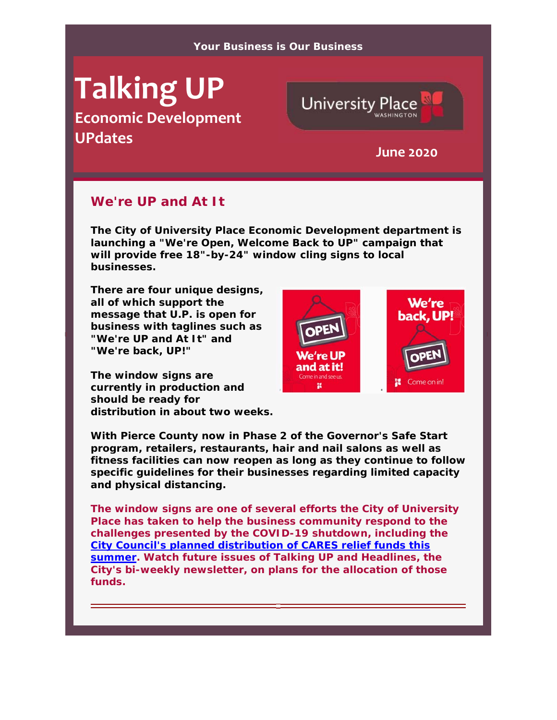#### **Your Business is Our Business**

# **Talking UP Economic Development UPdates June <sup>2020</sup>**



# **We're UP and At It**

**The City of University Place Economic Development department is launching a "We're Open, Welcome Back to UP" campaign that will provide free 18"-by-24" window cling signs to local businesses.** 

**There are four unique designs, all of which support the message that U.P. is open for business with taglines such as "We're UP and At It" and "We're back, UP!"** 

**The window signs are currently in production and should be ready for distribution in about two weeks.** 



**With Pierce County now in Phase 2 of the Governor's Safe Start program, retailers, restaurants, hair and nail salons as well as fitness facilities can now reopen as long as they continue to follow specific guidelines for their businesses regarding limited capacity and physical distancing.** 

**The window signs are one of several efforts the City of University Place has taken to help the business community respond to the challenges presented by the COVID-19 shutdown, including the City Council's planned distribution of CARES relief funds this summer. Watch future issues of Talking UP and Headlines, the City's bi-weekly newsletter, on plans for the allocation of those funds.**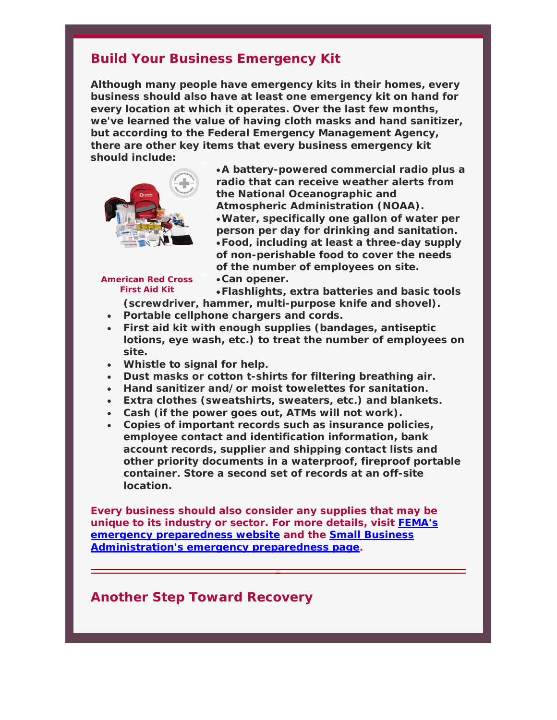# **Build Your Business Emergency Kit**

**Although many people have emergency kits in their homes, every business should also have at least one emergency kit on hand for every location at which it operates. Over the last few months, we've learned the value of having cloth masks and hand sanitizer, but according to the Federal Emergency Management Agency, there are other key items that every business emergency kit should include:** 



**A battery-powered commercial radio plus a radio that can receive weather alerts from the National Oceanographic and Atmospheric Administration (NOAA). Water, specifically one gallon of water per person per day for drinking and sanitation. Food, including at least a three-day supply of non-perishable food to cover the needs of the number of employees on site. Can opener.** 

#### **American Red Cross First Aid Kit**

**Flashlights, extra batteries and basic tools (screwdriver, hammer, multi-purpose knife and shovel).** 

- **Portable cellphone chargers and cords.**
- **First aid kit with enough supplies (bandages, antiseptic lotions, eye wash, etc.) to treat the number of employees on site.**
- **Whistle to signal for help.**
- **Dust masks or cotton t-shirts for filtering breathing air.**
- **Hand sanitizer and/or moist towelettes for sanitation.**
- **Extra clothes (sweatshirts, sweaters, etc.) and blankets.**
- **Cash (if the power goes out, ATMs will not work).**
- **Copies of important records such as insurance policies, employee contact and identification information, bank account records, supplier and shipping contact lists and other priority documents in a waterproof, fireproof portable container. Store a second set of records at an off-site location.**

**Every business should also consider any supplies that may be unique to its industry or sector. For more details, visit FEMA's emergency preparedness website and the Small Business Administration's emergency preparedness page.** 

### **Another Step Toward Recovery**